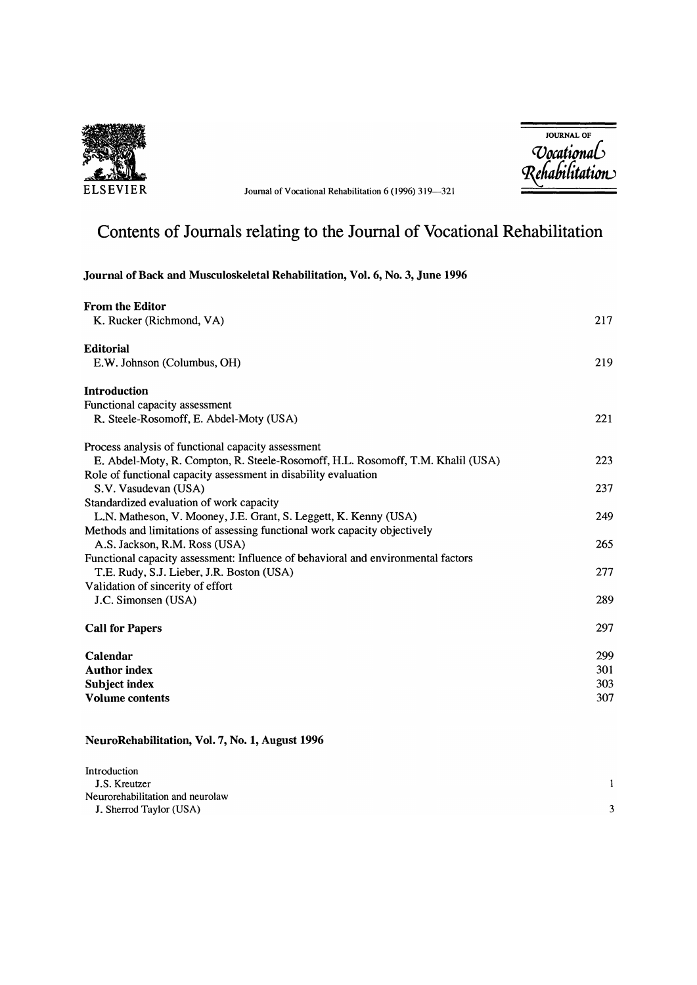

ELSEVIER Journal of Vocational Rehabilitation 6 (1996) 319-321

JOURNAL OF *'Vocati0na6*   $R$ ehabilitation

# Contents of Journals relating to the Journal of Vocational Rehabilitation

# Journal of Back and Musculoskeletal Rehabilitation, Vol. 6, No. 3, June 1996

| <b>From the Editor</b>                                                            |     |
|-----------------------------------------------------------------------------------|-----|
| K. Rucker (Richmond, VA)                                                          | 217 |
| <b>Editorial</b>                                                                  |     |
| E.W. Johnson (Columbus, OH)                                                       | 219 |
| <b>Introduction</b>                                                               |     |
| Functional capacity assessment                                                    |     |
| R. Steele-Rosomoff, E. Abdel-Moty (USA)                                           | 221 |
| Process analysis of functional capacity assessment                                |     |
| E. Abdel-Moty, R. Compton, R. Steele-Rosomoff, H.L. Rosomoff, T.M. Khalil (USA)   | 223 |
| Role of functional capacity assessment in disability evaluation                   |     |
| S.V. Vasudevan (USA)                                                              | 237 |
| Standardized evaluation of work capacity                                          |     |
| L.N. Matheson, V. Mooney, J.E. Grant, S. Leggett, K. Kenny (USA)                  | 249 |
| Methods and limitations of assessing functional work capacity objectively         |     |
| A.S. Jackson, R.M. Ross (USA)                                                     | 265 |
| Functional capacity assessment: Influence of behavioral and environmental factors |     |
| T.E. Rudy, S.J. Lieber, J.R. Boston (USA)                                         | 277 |
| Validation of sincerity of effort                                                 |     |
| J.C. Simonsen (USA)                                                               | 289 |
| <b>Call for Papers</b>                                                            | 297 |
| Calendar                                                                          | 299 |
| <b>Author index</b>                                                               | 301 |
| Subject index                                                                     | 303 |
| <b>Volume contents</b>                                                            | 307 |
|                                                                                   |     |

## NeuroRehabilitation, Vol. 7, No.1, August 1996

| Introduction                     |  |
|----------------------------------|--|
| J.S. Kreutzer                    |  |
| Neurorehabilitation and neurolaw |  |
| J. Sherrod Taylor (USA)          |  |
|                                  |  |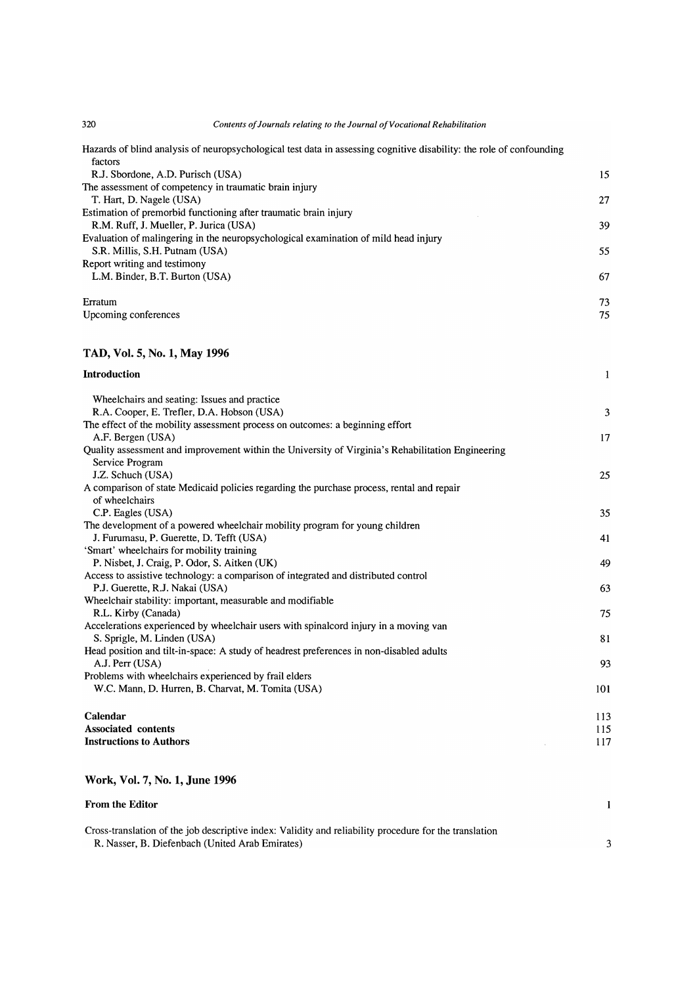320 *Contents of Journals relating to the Journal of Vocational Rehabilitation* 

Hazards of blind analysis of neuropsychological test data in assessing cognitive disability: the role of confounding factors

| R.J. Sbordone, A.D. Purisch (USA)                                                   | 15 |
|-------------------------------------------------------------------------------------|----|
| The assessment of competency in traumatic brain injury                              |    |
| T. Hart, D. Nagele (USA)                                                            | 27 |
| Estimation of premorbid functioning after traumatic brain injury                    |    |
| R.M. Ruff. J. Mueller. P. Jurica (USA)                                              | 39 |
| Evaluation of malingering in the neuropsychological examination of mild head injury |    |
| S.R. Millis, S.H. Putnam (USA)                                                      | 55 |
| Report writing and testimony                                                        |    |
| L.M. Binder, B.T. Burton (USA)                                                      | 67 |
| Erratum                                                                             | 73 |
| Upcoming conferences                                                                | 75 |
|                                                                                     |    |
|                                                                                     |    |

### TAD, Vol. 5, No.1, May 1996

| Introduction                                                                                      | $\mathbf{1}$ |
|---------------------------------------------------------------------------------------------------|--------------|
| Wheelchairs and seating: Issues and practice                                                      |              |
| R.A. Cooper, E. Trefler, D.A. Hobson (USA)                                                        | 3            |
| The effect of the mobility assessment process on outcomes: a beginning effort                     |              |
| A.F. Bergen (USA)                                                                                 | 17           |
| Quality assessment and improvement within the University of Virginia's Rehabilitation Engineering |              |
| Service Program                                                                                   |              |
| J.Z. Schuch (USA)                                                                                 | 25           |
| A comparison of state Medicaid policies regarding the purchase process, rental and repair         |              |
| of wheelchairs                                                                                    |              |
| C.P. Eagles (USA)                                                                                 | 35           |
| The development of a powered wheelchair mobility program for young children                       |              |
| J. Furumasu, P. Guerette, D. Tefft (USA)                                                          | 41           |
| 'Smart' wheelchairs for mobility training                                                         |              |
| P. Nisbet, J. Craig, P. Odor, S. Aitken (UK)                                                      | 49           |
| Access to assistive technology: a comparison of integrated and distributed control                |              |
| P.J. Guerette, R.J. Nakai (USA)                                                                   | 63           |
| Wheelchair stability: important, measurable and modifiable                                        |              |
| R.L. Kirby (Canada)                                                                               | 75           |
| Accelerations experienced by wheelchair users with spinalcord injury in a moving van              |              |
| S. Sprigle, M. Linden (USA)                                                                       | 81           |
| Head position and tilt-in-space: A study of headrest preferences in non-disabled adults           |              |
| A.J. Perr (USA)                                                                                   | 93           |
| Problems with wheelchairs experienced by frail elders                                             |              |
| W.C. Mann, D. Hurren, B. Charvat, M. Tomita (USA)                                                 | 101          |
| Calendar                                                                                          | 113          |
| <b>Associated</b> contents                                                                        | 115          |
| <b>Instructions to Authors</b>                                                                    | 117          |

### Work, Vol. 7, No.1, June 1996

| <b>From the Editor</b>                                                                                 |  |
|--------------------------------------------------------------------------------------------------------|--|
| Cross-translation of the job descriptive index: Validity and reliability procedure for the translation |  |
| R. Nasser, B. Diefenbach (United Arab Emirates)                                                        |  |